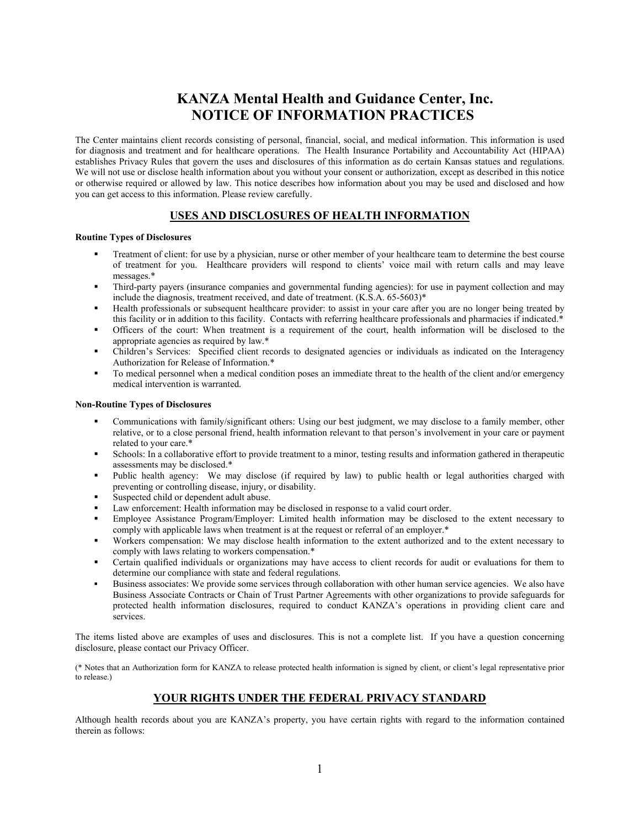# **KANZA Mental Health and Guidance Center, Inc. NOTICE OF INFORMATION PRACTICES**

The Center maintains client records consisting of personal, financial, social, and medical information. This information is used for diagnosis and treatment and for healthcare operations. The Health Insurance Portability and Accountability Act (HIPAA) establishes Privacy Rules that govern the uses and disclosures of this information as do certain Kansas statues and regulations. We will not use or disclose health information about you without your consent or authorization, except as described in this notice or otherwise required or allowed by law. This notice describes how information about you may be used and disclosed and how you can get access to this information. Please review carefully.

# **USES AND DISCLOSURES OF HEALTH INFORMATION**

#### **Routine Types of Disclosures**

- Treatment of client: for use by a physician, nurse or other member of your healthcare team to determine the best course of treatment for you. Healthcare providers will respond to clients' voice mail with return calls and may leave messages.\*
- Third-party payers (insurance companies and governmental funding agencies): for use in payment collection and may include the diagnosis, treatment received, and date of treatment. (K.S.A. 65-5603)\*
- Health professionals or subsequent healthcare provider: to assist in your care after you are no longer being treated by this facility or in addition to this facility. Contacts with referring healthcare professionals and pharmacies if indicated.\*
- Officers of the court: When treatment is a requirement of the court, health information will be disclosed to the appropriate agencies as required by law.\*
- Children's Services: Specified client records to designated agencies or individuals as indicated on the Interagency Authorization for Release of Information.\*
- To medical personnel when a medical condition poses an immediate threat to the health of the client and/or emergency medical intervention is warranted.

#### **Non-Routine Types of Disclosures**

- Communications with family/significant others: Using our best judgment, we may disclose to a family member, other relative, or to a close personal friend, health information relevant to that person's involvement in your care or payment related to your care.\*
- Schools: In a collaborative effort to provide treatment to a minor, testing results and information gathered in therapeutic assessments may be disclosed.\*
- Public health agency: We may disclose (if required by law) to public health or legal authorities charged with preventing or controlling disease, injury, or disability.
- Suspected child or dependent adult abuse.
- Law enforcement: Health information may be disclosed in response to a valid court order.
- Employee Assistance Program/Employer: Limited health information may be disclosed to the extent necessary to comply with applicable laws when treatment is at the request or referral of an employer.\*
- Workers compensation: We may disclose health information to the extent authorized and to the extent necessary to comply with laws relating to workers compensation.\*
- Certain qualified individuals or organizations may have access to client records for audit or evaluations for them to determine our compliance with state and federal regulations.
- Business associates: We provide some services through collaboration with other human service agencies. We also have Business Associate Contracts or Chain of Trust Partner Agreements with other organizations to provide safeguards for protected health information disclosures, required to conduct KANZA's operations in providing client care and services.

The items listed above are examples of uses and disclosures. This is not a complete list. If you have a question concerning disclosure, please contact our Privacy Officer.

(\* Notes that an Authorization form for KANZA to release protected health information is signed by client, or client's legal representative prior to release.)

## **YOUR RIGHTS UNDER THE FEDERAL PRIVACY STANDARD**

Although health records about you are KANZA's property, you have certain rights with regard to the information contained therein as follows: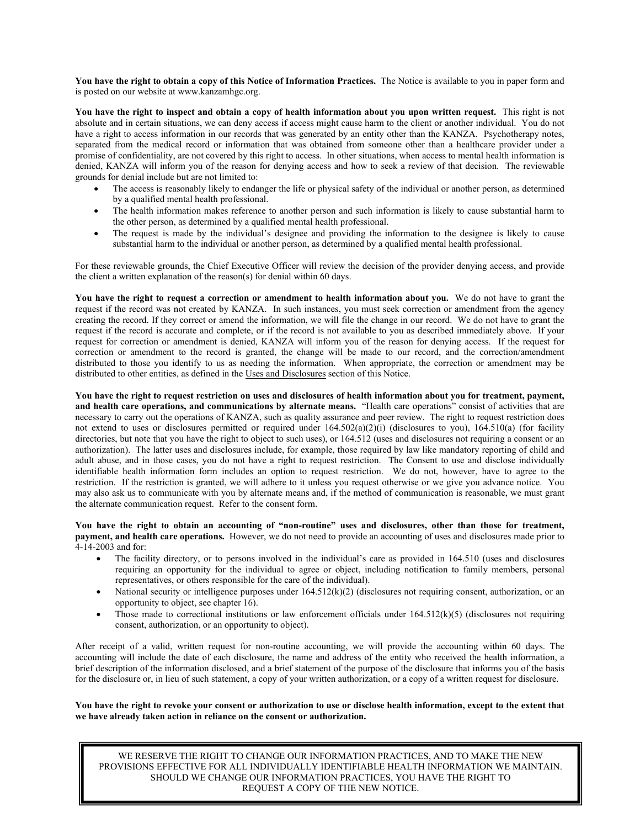**You have the right to obtain a copy of this Notice of Information Practices.** The Notice is available to you in paper form and is posted on our website at www.kanzamhgc.org.

**You have the right to inspect and obtain a copy of health information about you upon written request.** This right is not absolute and in certain situations, we can deny access if access might cause harm to the client or another individual. You do not have a right to access information in our records that was generated by an entity other than the KANZA. Psychotherapy notes, separated from the medical record or information that was obtained from someone other than a healthcare provider under a promise of confidentiality, are not covered by this right to access. In other situations, when access to mental health information is denied, KANZA will inform you of the reason for denying access and how to seek a review of that decision. The reviewable grounds for denial include but are not limited to:

- The access is reasonably likely to endanger the life or physical safety of the individual or another person, as determined by a qualified mental health professional.
- The health information makes reference to another person and such information is likely to cause substantial harm to the other person, as determined by a qualified mental health professional.
- The request is made by the individual's designee and providing the information to the designee is likely to cause substantial harm to the individual or another person, as determined by a qualified mental health professional.

For these reviewable grounds, the Chief Executive Officer will review the decision of the provider denying access, and provide the client a written explanation of the reason(s) for denial within 60 days.

**You have the right to request a correction or amendment to health information about you.** We do not have to grant the request if the record was not created by KANZA. In such instances, you must seek correction or amendment from the agency creating the record. If they correct or amend the information, we will file the change in our record. We do not have to grant the request if the record is accurate and complete, or if the record is not available to you as described immediately above. If your request for correction or amendment is denied, KANZA will inform you of the reason for denying access. If the request for correction or amendment to the record is granted, the change will be made to our record, and the correction/amendment distributed to those you identify to us as needing the information. When appropriate, the correction or amendment may be distributed to other entities, as defined in the Uses and Disclosures section of this Notice.

**You have the right to request restriction on uses and disclosures of health information about you for treatment, payment, and health care operations, and communications by alternate means.** "Health care operations" consist of activities that are necessary to carry out the operations of KANZA, such as quality assurance and peer review. The right to request restriction does not extend to uses or disclosures permitted or required under  $164.502(a)(2)(i)$  (disclosures to you),  $164.510(a)$  (for facility directories, but note that you have the right to object to such uses), or 164.512 (uses and disclosures not requiring a consent or an authorization). The latter uses and disclosures include, for example, those required by law like mandatory reporting of child and adult abuse, and in those cases, you do not have a right to request restriction. The Consent to use and disclose individually identifiable health information form includes an option to request restriction. We do not, however, have to agree to the restriction. If the restriction is granted, we will adhere to it unless you request otherwise or we give you advance notice. You may also ask us to communicate with you by alternate means and, if the method of communication is reasonable, we must grant the alternate communication request. Refer to the consent form.

**You have the right to obtain an accounting of "non-routine" uses and disclosures, other than those for treatment, payment, and health care operations.** However, we do not need to provide an accounting of uses and disclosures made prior to 4-14-2003 and for:

- The facility directory, or to persons involved in the individual's care as provided in 164.510 (uses and disclosures requiring an opportunity for the individual to agree or object, including notification to family members, personal representatives, or others responsible for the care of the individual).
- National security or intelligence purposes under  $164.512(k)(2)$  (disclosures not requiring consent, authorization, or an opportunity to object, see chapter 16).
- Those made to correctional institutions or law enforcement officials under  $164.512(k)(5)$  (disclosures not requiring consent, authorization, or an opportunity to object).

After receipt of a valid, written request for non-routine accounting, we will provide the accounting within 60 days. The accounting will include the date of each disclosure, the name and address of the entity who received the health information, a brief description of the information disclosed, and a brief statement of the purpose of the disclosure that informs you of the basis for the disclosure or, in lieu of such statement, a copy of your written authorization, or a copy of a written request for disclosure.

**You have the right to revoke your consent or authorization to use or disclose health information, except to the extent that we have already taken action in reliance on the consent or authorization.**

PROVISIONS EFFECTIVE FOR ALL INDIVIDUALLY IDENTIFIABLE HEALTH INFORMATION WE MAINTAIN.<br>CHOULD NUE GUANGE OUR REGRALITION PRACTICES MOULIAUS THE RIGHT TO WE RESERVE THE RIGHT TO CHANGE OUR INFORMATION PRACTICES, AND TO MAKE THE NEW SHOULD WE CHANGE OUR INFORMATION PRACTICES, YOU HAVE THE RIGHT TO REQUEST A COPY OF THE NEW NOTICE.